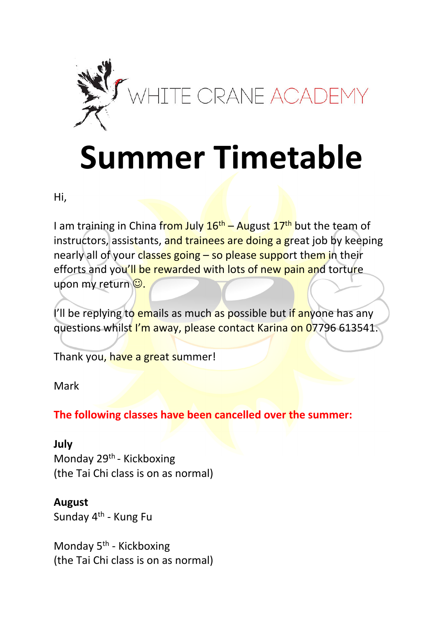

## **Summer Timetable**

Hi,

I am training in China from July  $16<sup>th</sup>$  – August  $17<sup>th</sup>$  but the team of instructors, assistants, and trainees are doing a great job by keeping nearly all of your classes going – so please support them in their efforts and you'll be rewarded with lots of new pain and torture upon my return  $\circledcirc$ .

I'll be replying to emails as much as possible but if anyone has any questions whilst I'm away, please contact Karina on 07796 613541.

Thank you, have a great summer!

Mark

**The following classes have been cancelled over the summer:** 

## **July**

Monday 29<sup>th</sup> - Kickboxing (the Tai Chi class is on as normal)

## **August**

Sunday 4<sup>th</sup> - Kung Fu

Monday 5<sup>th</sup> - Kickboxing (the Tai Chi class is on as normal)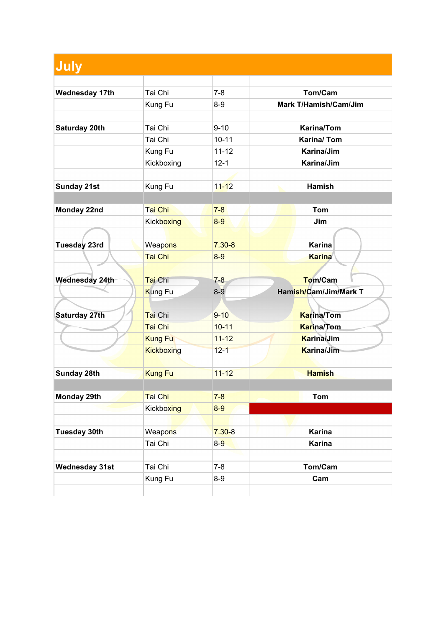| July                  |                   |            |                              |
|-----------------------|-------------------|------------|------------------------------|
|                       |                   |            |                              |
| <b>Wednesday 17th</b> | Tai Chi           | $7 - 8$    | Tom/Cam                      |
|                       | Kung Fu           | $8-9$      | <b>Mark T/Hamish/Cam/Jim</b> |
|                       |                   |            |                              |
| Saturday 20th         | Tai Chi           | $9 - 10$   | <b>Karina/Tom</b>            |
|                       | Tai Chi           | $10 - 11$  | Karina/Tom                   |
|                       | Kung Fu           | $11 - 12$  | Karina/Jim                   |
|                       | Kickboxing        | $12 - 1$   | Karina/Jim                   |
|                       |                   |            |                              |
| <b>Sunday 21st</b>    | Kung Fu           | $11 - 12$  | <b>Hamish</b>                |
|                       |                   |            |                              |
| Monday 22nd           | Tai Chi           | $7 - 8$    | <b>Tom</b>                   |
|                       | <b>Kickboxing</b> | $8-9$      | Jim                          |
|                       |                   |            |                              |
| Tuesday 23rd          | Weapons           | $7.30 - 8$ | <b>Karina</b>                |
|                       | Tai Chi           | $8-9$      | <b>Karina</b>                |
|                       |                   |            |                              |
| Wednesday 24th        | Tai Chi           | $7-8$      | <b>Tom/Cam</b>               |
|                       | Kung Fu           | $8-9$      | Hamish/Cam/Jim/Mark T        |
|                       |                   |            |                              |
| <b>Saturday 27th</b>  | Tai Chi           | $9 - 10$   | <b>Karina/Tom</b>            |
|                       | Tai Chi           | $10 - 11$  | <b>Karina/Tom</b>            |
|                       | <b>Kung Fu</b>    | $11 - 12$  | Karina/Jim                   |
|                       | Kickboxing        | $12 - 1$   | Karina/Jim                   |
|                       |                   |            |                              |
| <b>Sunday 28th</b>    | <b>Kung Fu</b>    | $11 - 12$  | <b>Hamish</b>                |
|                       |                   |            |                              |
| Monday 29th           | Tai Chi           | $7 - 8$    | <b>Tom</b>                   |
|                       | <b>Kickboxing</b> | $8 - 9$    |                              |
|                       |                   |            |                              |
| <b>Tuesday 30th</b>   | Weapons           | $7.30 - 8$ | <b>Karina</b>                |
|                       | Tai Chi           | $8-9$      | <b>Karina</b>                |
|                       |                   |            |                              |
| <b>Wednesday 31st</b> | Tai Chi           | $7 - 8$    | Tom/Cam                      |
|                       | Kung Fu           | $8-9$      | Cam                          |
|                       |                   |            |                              |